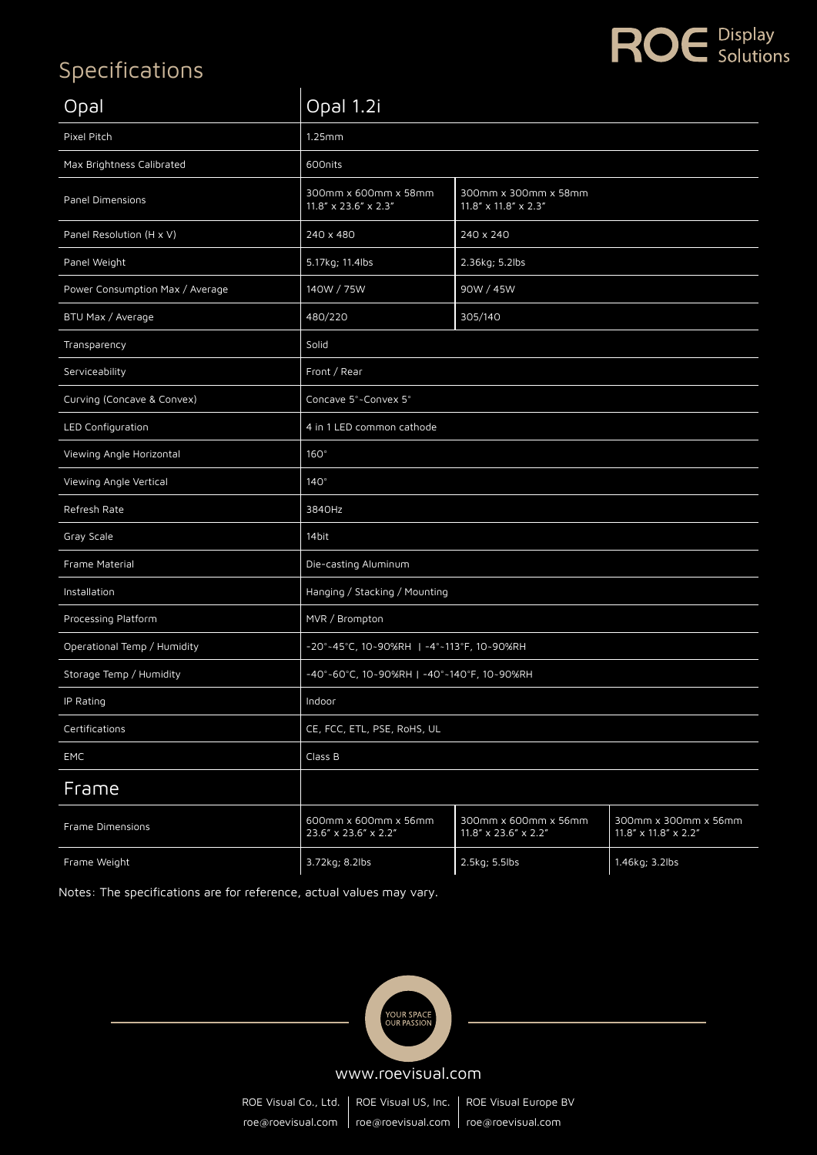## Specifications

| Opal                            | Opal 1.2i                                    |                                                             |                                              |  |  |
|---------------------------------|----------------------------------------------|-------------------------------------------------------------|----------------------------------------------|--|--|
| Pixel Pitch                     | 1.25mm                                       |                                                             |                                              |  |  |
| Max Brightness Calibrated       | 600nits                                      |                                                             |                                              |  |  |
| Panel Dimensions                | 300mm x 600mm x 58mm<br>11.8" x 23.6" x 2.3" | 300mm x 300mm x 58mm<br>$11.8'' \times 11.8'' \times 2.3''$ |                                              |  |  |
| Panel Resolution (H x V)        | 240 x 480                                    | 240 x 240                                                   |                                              |  |  |
| Panel Weight                    | 5.17kg; 11.4lbs                              | 2.36kg; 5.2lbs                                              |                                              |  |  |
| Power Consumption Max / Average | 140W / 75W                                   | 90W / 45W                                                   |                                              |  |  |
| BTU Max / Average               | 480/220                                      | 305/140                                                     |                                              |  |  |
| Transparency                    | Solid                                        |                                                             |                                              |  |  |
| Serviceability                  | Front / Rear                                 |                                                             |                                              |  |  |
| Curving (Concave & Convex)      | Concave 5°~Convex 5°                         |                                                             |                                              |  |  |
| LED Configuration               | 4 in 1 LED common cathode                    |                                                             |                                              |  |  |
| Viewing Angle Horizontal        | $160^\circ$                                  |                                                             |                                              |  |  |
| Viewing Angle Vertical          | $140^\circ$                                  |                                                             |                                              |  |  |
| Refresh Rate                    | 3840Hz                                       |                                                             |                                              |  |  |
| Gray Scale                      | 14bit                                        |                                                             |                                              |  |  |
| Frame Material                  | Die-casting Aluminum                         |                                                             |                                              |  |  |
| Installation                    | Hanging / Stacking / Mounting                |                                                             |                                              |  |  |
| Processing Platform             | MVR / Brompton                               |                                                             |                                              |  |  |
| Operational Temp / Humidity     | -20°-45°C, 10~90%RH   -4°-113°F, 10~90%RH    |                                                             |                                              |  |  |
| Storage Temp / Humidity         | -40°~60°C, 10~90%RH   -40°~140°F, 10~90%RH   |                                                             |                                              |  |  |
| IP Rating                       | Indoor                                       |                                                             |                                              |  |  |
| Certifications                  | CE, FCC, ETL, PSE, RoHS, UL                  |                                                             |                                              |  |  |
| EMC                             | Class B                                      |                                                             |                                              |  |  |
| Frame                           |                                              |                                                             |                                              |  |  |
| Frame Dimensions                | 600mm x 600mm x 56mm<br>23.6" x 23.6" x 2.2" | 300mm x 600mm x 56mm<br>11.8" x 23.6" x 2.2"                | 300mm x 300mm x 56mm<br>11.8" x 11.8" x 2.2" |  |  |
| Frame Weight                    | 3.72kg; 8.2lbs                               | 2.5kg; 5.5lbs                                               | 1.46kg; 3.2lbs                               |  |  |

ROE **Display** 

Notes: The specifications are for reference, actual values may vary.



www.roevisual.com